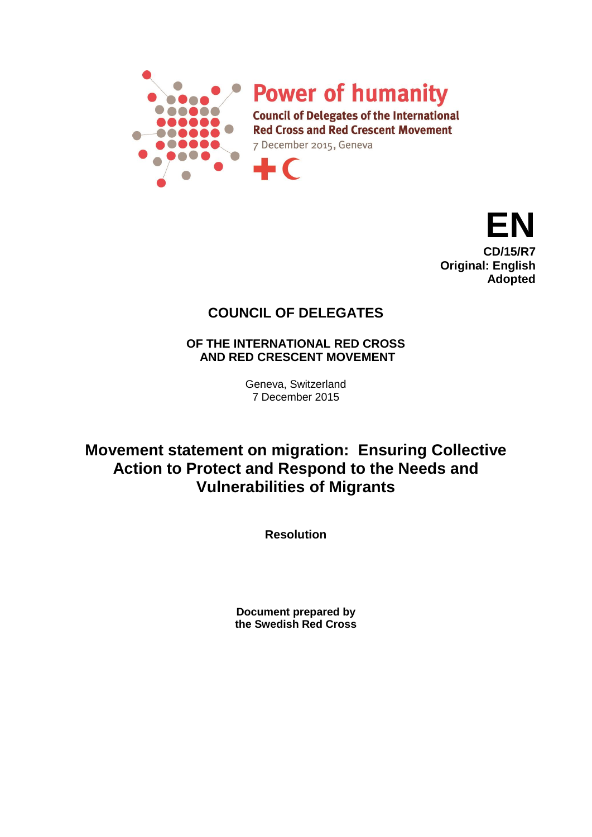

**Power of humanity** 

**Council of Delegates of the International Red Cross and Red Crescent Movement** 

7 December 2015, Geneva

 $\blacksquare$ 



## **COUNCIL OF DELEGATES**

**OF THE INTERNATIONAL RED CROSS AND RED CRESCENT MOVEMENT**

> Geneva, Switzerland 7 December 2015

**Movement statement on migration: Ensuring Collective Action to Protect and Respond to the Needs and Vulnerabilities of Migrants**

**Resolution**

**Document prepared by the Swedish Red Cross**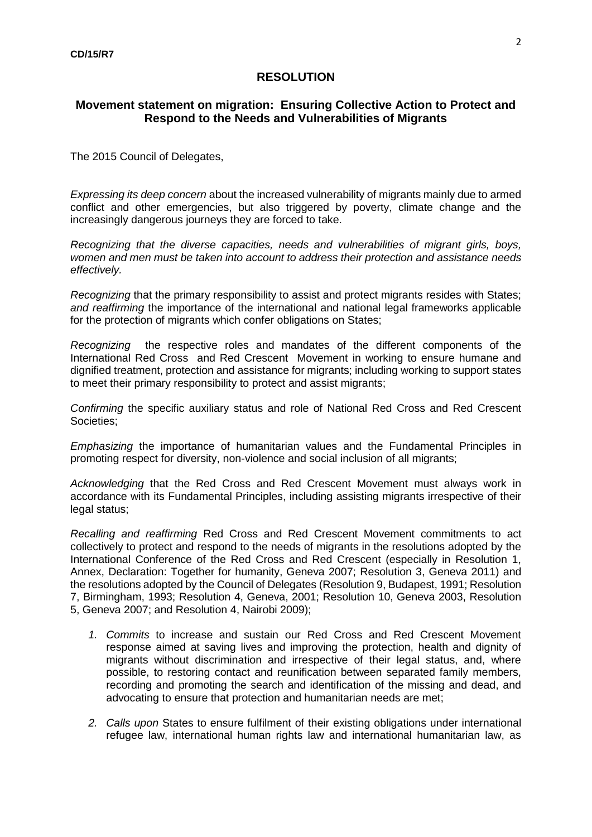## **RESOLUTION**

## **Movement statement on migration: Ensuring Collective Action to Protect and Respond to the Needs and Vulnerabilities of Migrants**

The 2015 Council of Delegates,

*Expressing its deep concern* about the increased vulnerability of migrants mainly due to armed conflict and other emergencies, but also triggered by poverty, climate change and the increasingly dangerous journeys they are forced to take.

*Recognizing that the diverse capacities, needs and vulnerabilities of migrant girls, boys, women and men must be taken into account to address their protection and assistance needs effectively.* 

*Recognizing* that the primary responsibility to assist and protect migrants resides with States; *and reaffirming* the importance of the international and national legal frameworks applicable for the protection of migrants which confer obligations on States;

*Recognizing* the respective roles and mandates of the different components of the International Red Cross and Red Crescent Movement in working to ensure humane and dignified treatment, protection and assistance for migrants; including working to support states to meet their primary responsibility to protect and assist migrants;

*Confirming* the specific auxiliary status and role of National Red Cross and Red Crescent Societies;

*Emphasizing* the importance of humanitarian values and the Fundamental Principles in promoting respect for diversity, non-violence and social inclusion of all migrants;

*Acknowledging* that the Red Cross and Red Crescent Movement must always work in accordance with its Fundamental Principles, including assisting migrants irrespective of their legal status;

*Recalling and reaffirming* Red Cross and Red Crescent Movement commitments to act collectively to protect and respond to the needs of migrants in the resolutions adopted by the International Conference of the Red Cross and Red Crescent (especially in Resolution 1, Annex, Declaration: Together for humanity, Geneva 2007; Resolution 3, Geneva 2011) and the resolutions adopted by the Council of Delegates (Resolution 9, Budapest, 1991; Resolution 7, Birmingham, 1993; Resolution 4, Geneva, 2001; Resolution 10, Geneva 2003, Resolution 5, Geneva 2007; and Resolution 4, Nairobi 2009);

- *1. Commits* to increase and sustain our Red Cross and Red Crescent Movement response aimed at saving lives and improving the protection, health and dignity of migrants without discrimination and irrespective of their legal status, and, where possible, to restoring contact and reunification between separated family members, recording and promoting the search and identification of the missing and dead, and advocating to ensure that protection and humanitarian needs are met;
- *2. Calls upon* States to ensure fulfilment of their existing obligations under international refugee law, international human rights law and international humanitarian law, as